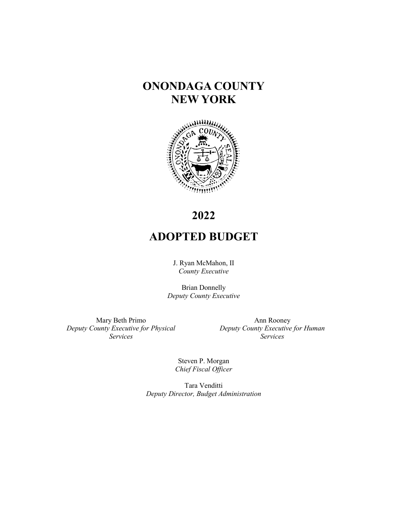# **ONONDAGA COUNTY NEW YORK**



# **2022**

# **ADOPTED BUDGET**

J. Ryan McMahon, II *County Executive*

Brian Donnelly *Deputy County Executive*

Mary Beth Primo *Deputy County Executive for Physical Services*

Ann Rooney *Deputy County Executive for Human Services* 

Steven P. Morgan *Chief Fiscal Officer*

Tara Venditti *Deputy Director, Budget Administration*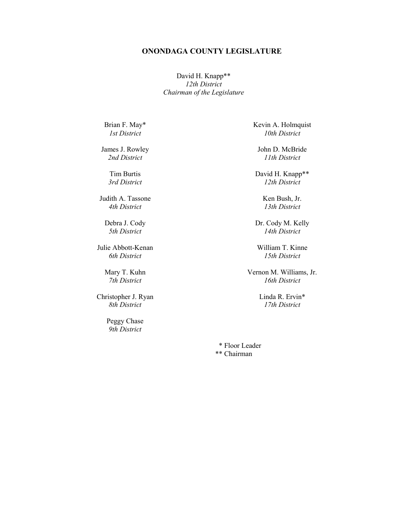#### **ONONDAGA COUNTY LEGISLATURE**

David H. Knapp\*\* *12th District Chairman of the Legislature*

Brian F. May\* *1st District*

James J. Rowley *2nd District*

> Tim Burtis *3rd District*

Judith A. Tassone *4th District*

Debra J. Cody *5th District*

Julie Abbott-Kenan *6th District*

> Mary T. Kuhn *7th District*

Christopher J. Ryan *8th District*

> Peggy Chase *9th District*

Kevin A. Holmquist *10th District*

John D. McBride *11th District*

David H. Knapp\*\* *12th District*

> Ken Bush, Jr. *13th District*

Dr. Cody M. Kelly *14th District*

William T. Kinne *15th District*

Vernon M. Williams, Jr. *16th District*

> Linda R. Ervin\* *17th District*

 \* Floor Leader \*\* Chairman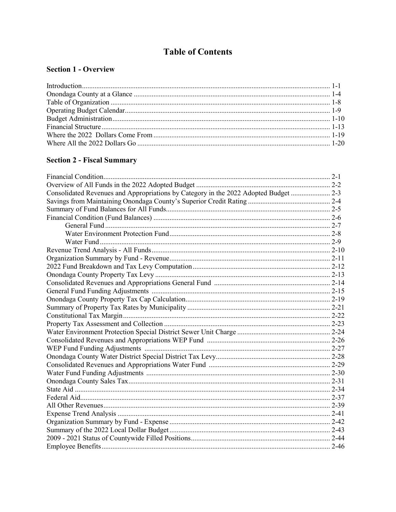### **Table of Contents**

#### **Section 1 - Overview**

#### **Section 2 - Fiscal Summary**

| Consolidated Revenues and Appropriations by Category in the 2022 Adopted Budget  2-3 |  |
|--------------------------------------------------------------------------------------|--|
|                                                                                      |  |
|                                                                                      |  |
|                                                                                      |  |
|                                                                                      |  |
|                                                                                      |  |
|                                                                                      |  |
|                                                                                      |  |
|                                                                                      |  |
|                                                                                      |  |
|                                                                                      |  |
|                                                                                      |  |
|                                                                                      |  |
|                                                                                      |  |
|                                                                                      |  |
|                                                                                      |  |
|                                                                                      |  |
|                                                                                      |  |
|                                                                                      |  |
|                                                                                      |  |
|                                                                                      |  |
|                                                                                      |  |
|                                                                                      |  |
|                                                                                      |  |
|                                                                                      |  |
|                                                                                      |  |
|                                                                                      |  |
|                                                                                      |  |
|                                                                                      |  |
|                                                                                      |  |
|                                                                                      |  |
|                                                                                      |  |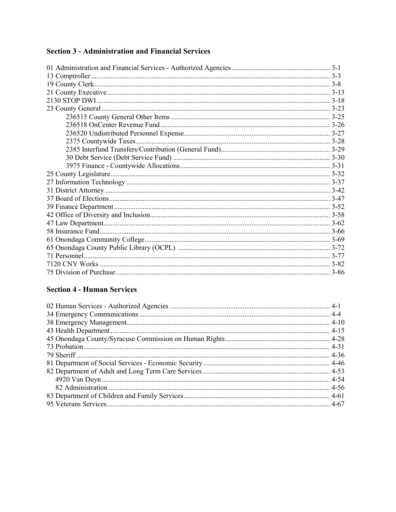#### **Section 3 - Administration and Financial Services**

#### **Section 4 - Human Services**